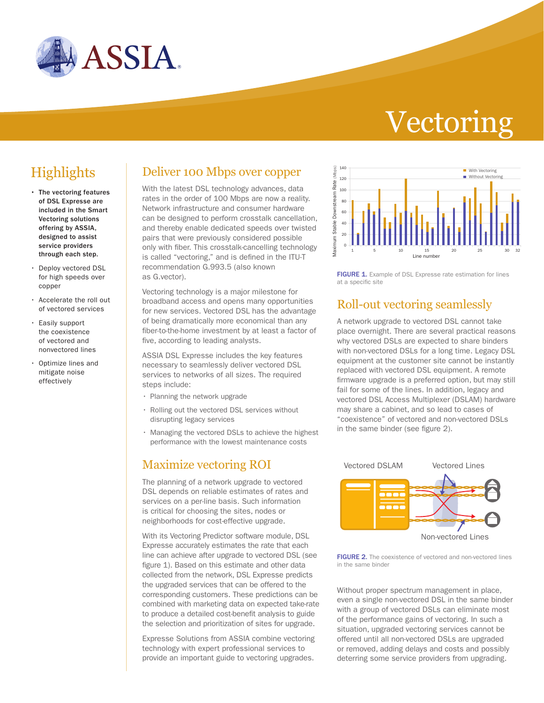

# Vectoring

- The vectoring features of DSL Expresse are included in the Smart Vectoring solutions offering by ASSIA, designed to assist service providers through each step.
- Deploy vectored DSL for high speeds over copper
- Accelerate the roll out of vectored services
- Easily support the coexistence of vectored and nonvectored lines
- Optimize lines and mitigate noise effectively

## **Highlights** Deliver 100 Mbps over copper

With the latest DSL technology advances, data rates in the order of 100 Mbps are now a reality. Network infrastructure and consumer hardware can be designed to perform crosstalk cancellation, and thereby enable dedicated speeds over twisted pairs that were previously considered possible only with fiber. This crosstalk-cancelling technology is called "vectoring," and is defined in the ITU-T recommendation G.993.5 (also known as G.vector).

Vectoring technology is a major milestone for broadband access and opens many opportunities for new services. Vectored DSL has the advantage of being dramatically more economical than any fiber-to-the-home investment by at least a factor of five, according to leading analysts.

ASSIA DSL Expresse includes the key features necessary to seamlessly deliver vectored DSL services to networks of all sizes. The required steps include:

- Planning the network upgrade
- Rolling out the vectored DSL services without disrupting legacy services
- Managing the vectored DSLs to achieve the highest performance with the lowest maintenance costs

#### Maximize vectoring ROI

The planning of a network upgrade to vectored DSL depends on reliable estimates of rates and services on a per-line basis. Such information is critical for choosing the sites, nodes or neighborhoods for cost-effective upgrade.

With its Vectoring Predictor software module, DSL Expresse accurately estimates the rate that each line can achieve after upgrade to vectored DSL (see figure 1). Based on this estimate and other data collected from the network, DSL Expresse predicts the upgraded services that can be offered to the corresponding customers. These predictions can be combined with marketing data on expected take-rate to produce a detailed cost-benefit analysis to guide the selection and prioritization of sites for upgrade.

Expresse Solutions from ASSIA combine vectoring technology with expert professional services to provide an important guide to vectoring upgrades.



FIGURE 1. Example of DSL Expresse rate estimation for lines at a specific site

### Roll-out vectoring seamlessly

A network upgrade to vectored DSL cannot take place overnight. There are several practical reasons why vectored DSLs are expected to share binders with non-vectored DSLs for a long time. Legacy DSL equipment at the customer site cannot be instantly replaced with vectored DSL equipment. A remote firmware upgrade is a preferred option, but may still fail for some of the lines. In addition, legacy and vectored DSL Access Multiplexer (DSLAM) hardware may share a cabinet, and so lead to cases of "coexistence" of vectored and non-vectored DSLs in the same binder (see figure 2).



FIGURE 2. The coexistence of vectored and non-vectored lines in the same binder

Without proper spectrum management in place, even a single non-vectored DSL in the same binder with a group of vectored DSLs can eliminate most of the performance gains of vectoring. In such a situation, upgraded vectoring services cannot be offered until all non-vectored DSLs are upgraded or removed, adding delays and costs and possibly deterring some service providers from upgrading.